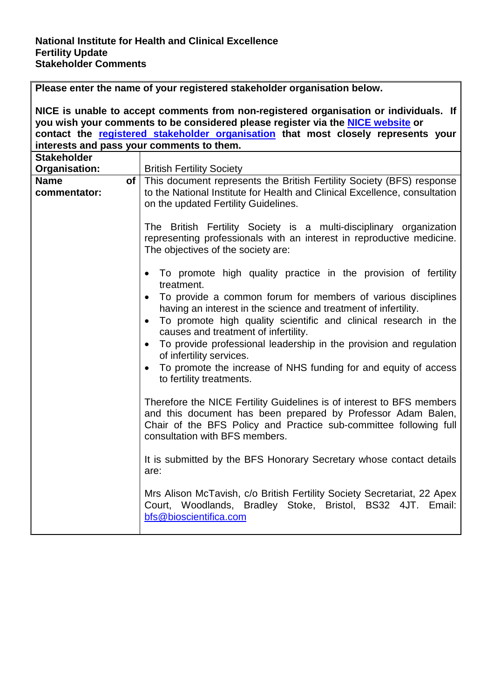|                                           | Please enter the name of your registered stakeholder organisation below.                                                                                                                                                                                                                                                                                                                                                                                                                                                                                  |
|-------------------------------------------|-----------------------------------------------------------------------------------------------------------------------------------------------------------------------------------------------------------------------------------------------------------------------------------------------------------------------------------------------------------------------------------------------------------------------------------------------------------------------------------------------------------------------------------------------------------|
|                                           | NICE is unable to accept comments from non-registered organisation or individuals. If<br>you wish your comments to be considered please register via the <b>NICE website</b> or                                                                                                                                                                                                                                                                                                                                                                           |
|                                           | contact the registered stakeholder organisation that most closely represents your                                                                                                                                                                                                                                                                                                                                                                                                                                                                         |
| interests and pass your comments to them. |                                                                                                                                                                                                                                                                                                                                                                                                                                                                                                                                                           |
| <b>Stakeholder</b>                        |                                                                                                                                                                                                                                                                                                                                                                                                                                                                                                                                                           |
| Organisation:                             | <b>British Fertility Society</b>                                                                                                                                                                                                                                                                                                                                                                                                                                                                                                                          |
| <b>Name</b><br>commentator:               | of   This document represents the British Fertility Society (BFS) response<br>to the National Institute for Health and Clinical Excellence, consultation<br>on the updated Fertility Guidelines.                                                                                                                                                                                                                                                                                                                                                          |
|                                           | The British Fertility Society is a multi-disciplinary organization<br>representing professionals with an interest in reproductive medicine.<br>The objectives of the society are:                                                                                                                                                                                                                                                                                                                                                                         |
|                                           | • To promote high quality practice in the provision of fertility<br>treatment.<br>• To provide a common forum for members of various disciplines<br>having an interest in the science and treatment of infertility.<br>To promote high quality scientific and clinical research in the<br>$\bullet$<br>causes and treatment of infertility.<br>To provide professional leadership in the provision and regulation<br>$\bullet$<br>of infertility services.<br>To promote the increase of NHS funding for and equity of access<br>to fertility treatments. |
|                                           | Therefore the NICE Fertility Guidelines is of interest to BFS members<br>and this document has been prepared by Professor Adam Balen,<br>Chair of the BFS Policy and Practice sub-committee following full<br>consultation with BFS members.                                                                                                                                                                                                                                                                                                              |
|                                           | It is submitted by the BFS Honorary Secretary whose contact details<br>are:                                                                                                                                                                                                                                                                                                                                                                                                                                                                               |
|                                           | Mrs Alison McTavish, c/o British Fertility Society Secretariat, 22 Apex<br>Court, Woodlands, Bradley Stoke, Bristol, BS32 4JT. Email:<br>bfs@bioscientifica.com                                                                                                                                                                                                                                                                                                                                                                                           |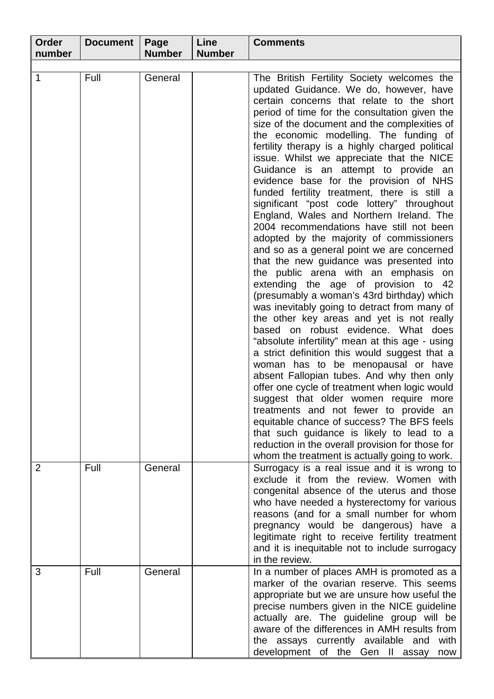| Order          | <b>Document</b> | Page          | Line          | <b>Comments</b>                                                                                                                                                                                                                                                                                                                                                                                                                                                                                                                                                                                                                                                                                                                                                                                                                                                                                                                                                                                                                                                                                                                                                                                                                                                                                                                                                                                                                                                                                                                                                                             |
|----------------|-----------------|---------------|---------------|---------------------------------------------------------------------------------------------------------------------------------------------------------------------------------------------------------------------------------------------------------------------------------------------------------------------------------------------------------------------------------------------------------------------------------------------------------------------------------------------------------------------------------------------------------------------------------------------------------------------------------------------------------------------------------------------------------------------------------------------------------------------------------------------------------------------------------------------------------------------------------------------------------------------------------------------------------------------------------------------------------------------------------------------------------------------------------------------------------------------------------------------------------------------------------------------------------------------------------------------------------------------------------------------------------------------------------------------------------------------------------------------------------------------------------------------------------------------------------------------------------------------------------------------------------------------------------------------|
| number         |                 | <b>Number</b> | <b>Number</b> |                                                                                                                                                                                                                                                                                                                                                                                                                                                                                                                                                                                                                                                                                                                                                                                                                                                                                                                                                                                                                                                                                                                                                                                                                                                                                                                                                                                                                                                                                                                                                                                             |
| 1              | Full            | General       |               | The British Fertility Society welcomes the<br>updated Guidance. We do, however, have<br>certain concerns that relate to the short<br>period of time for the consultation given the<br>size of the document and the complexities of<br>the economic modelling. The funding of<br>fertility therapy is a highly charged political<br>issue. Whilst we appreciate that the NICE<br>Guidance is an attempt to provide an<br>evidence base for the provision of NHS<br>funded fertility treatment, there is still a<br>significant "post code lottery" throughout<br>England, Wales and Northern Ireland. The<br>2004 recommendations have still not been<br>adopted by the majority of commissioners<br>and so as a general point we are concerned<br>that the new guidance was presented into<br>the public arena with an emphasis on<br>extending the age of provision to<br>-42<br>(presumably a woman's 43rd birthday) which<br>was inevitably going to detract from many of<br>the other key areas and yet is not really<br>based on robust evidence. What does<br>"absolute infertility" mean at this age - using<br>a strict definition this would suggest that a<br>woman has to be menopausal or have<br>absent Fallopian tubes. And why then only<br>offer one cycle of treatment when logic would<br>suggest that older women require more<br>treatments and not fewer to provide an<br>equitable chance of success? The BFS feels<br>that such guidance is likely to lead to a<br>reduction in the overall provision for those for<br>whom the treatment is actually going to work. |
| $\overline{2}$ | Full            | General       |               | Surrogacy is a real issue and it is wrong to<br>exclude it from the review. Women with<br>congenital absence of the uterus and those<br>who have needed a hysterectomy for various<br>reasons (and for a small number for whom<br>pregnancy would be dangerous) have a<br>legitimate right to receive fertility treatment<br>and it is inequitable not to include surrogacy<br>in the review.                                                                                                                                                                                                                                                                                                                                                                                                                                                                                                                                                                                                                                                                                                                                                                                                                                                                                                                                                                                                                                                                                                                                                                                               |
| 3              | Full            | General       |               | In a number of places AMH is promoted as a<br>marker of the ovarian reserve. This seems<br>appropriate but we are unsure how useful the<br>precise numbers given in the NICE guideline<br>actually are. The guideline group will be<br>aware of the differences in AMH results from<br>the assays currently available and<br>with<br>development of the Gen II assay<br>now                                                                                                                                                                                                                                                                                                                                                                                                                                                                                                                                                                                                                                                                                                                                                                                                                                                                                                                                                                                                                                                                                                                                                                                                                 |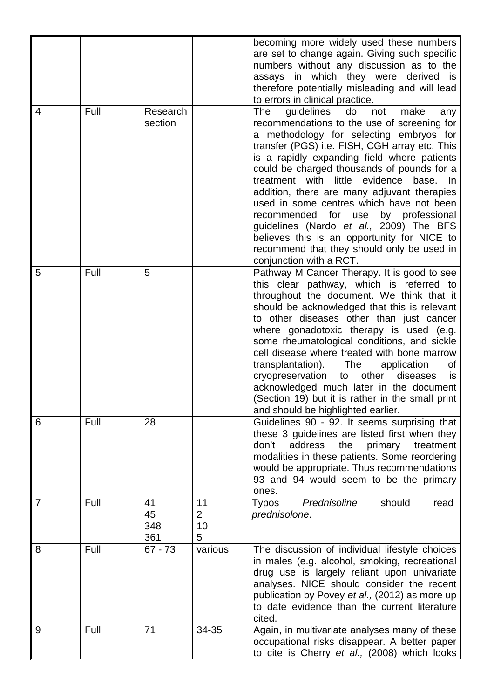|   |      |                        |                                 | becoming more widely used these numbers                                                                                                                                                                                                                                                                                                                                                                                                                                                                                                                                                                                                  |
|---|------|------------------------|---------------------------------|------------------------------------------------------------------------------------------------------------------------------------------------------------------------------------------------------------------------------------------------------------------------------------------------------------------------------------------------------------------------------------------------------------------------------------------------------------------------------------------------------------------------------------------------------------------------------------------------------------------------------------------|
|   |      |                        |                                 | are set to change again. Giving such specific<br>numbers without any discussion as to the<br>assays in which they were derived is<br>therefore potentially misleading and will lead<br>to errors in clinical practice.                                                                                                                                                                                                                                                                                                                                                                                                                   |
| 4 | Full | Research<br>section    |                                 | The<br>guidelines do<br>not<br>make<br>any<br>recommendations to the use of screening for<br>a methodology for selecting embryos for<br>transfer (PGS) i.e. FISH, CGH array etc. This<br>is a rapidly expanding field where patients<br>could be charged thousands of pounds for a<br>treatment with little evidence base. In<br>addition, there are many adjuvant therapies<br>used in some centres which have not been<br>recommended for<br>by professional<br>use<br>guidelines (Nardo et al., 2009) The BFS<br>believes this is an opportunity for NICE to<br>recommend that they should only be used in<br>conjunction with a RCT. |
| 5 | Full | 5                      |                                 | Pathway M Cancer Therapy. It is good to see<br>this clear pathway, which is referred to<br>throughout the document. We think that it<br>should be acknowledged that this is relevant<br>to other diseases other than just cancer<br>where gonadotoxic therapy is used (e.g.<br>some rheumatological conditions, and sickle<br>cell disease where treated with bone marrow<br>transplantation).<br>The<br>application<br>οf<br>cryopreservation<br>to other diseases<br>is.<br>acknowledged much later in the document<br>(Section 19) but it is rather in the small print<br>and should be highlighted earlier.                          |
| 6 | Full | 28                     |                                 | Guidelines 90 - 92. It seems surprising that<br>these 3 guidelines are listed first when they<br>don't<br>address<br>the<br>primary<br>treatment<br>modalities in these patients. Some reordering<br>would be appropriate. Thus recommendations<br>93 and 94 would seem to be the primary<br>ones.                                                                                                                                                                                                                                                                                                                                       |
| 7 | Full | 41<br>45<br>348<br>361 | 11<br>$\overline{2}$<br>10<br>5 | Prednisoline<br>should<br><b>Typos</b><br>read<br>prednisolone.                                                                                                                                                                                                                                                                                                                                                                                                                                                                                                                                                                          |
| 8 | Full | $67 - 73$              | various                         | The discussion of individual lifestyle choices<br>in males (e.g. alcohol, smoking, recreational<br>drug use is largely reliant upon univariate<br>analyses. NICE should consider the recent<br>publication by Povey et al., (2012) as more up<br>to date evidence than the current literature<br>cited.                                                                                                                                                                                                                                                                                                                                  |
| 9 | Full | 71                     | 34-35                           | Again, in multivariate analyses many of these<br>occupational risks disappear. A better paper<br>to cite is Cherry et al., (2008) which looks                                                                                                                                                                                                                                                                                                                                                                                                                                                                                            |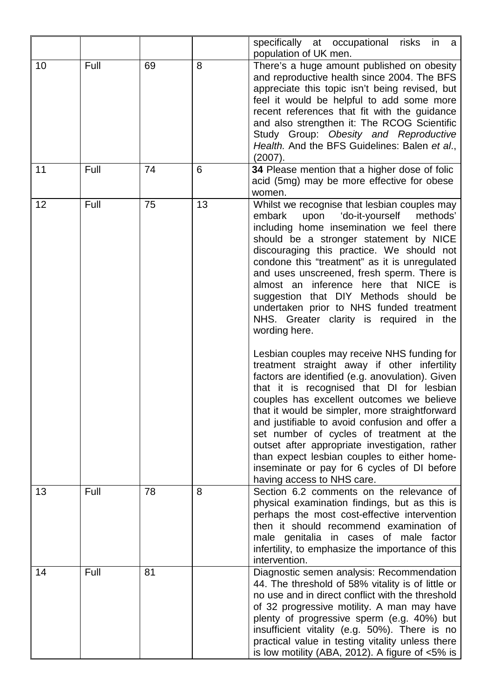|    |      |    |    | specifically at occupational risks<br>in<br>- a<br>population of UK men.                                                                                                                                                                                                                                                                                                                                                                                                                                                                                                                                                                                                                                                                                                                                                                                                                                                                                                                                                                                                                                 |
|----|------|----|----|----------------------------------------------------------------------------------------------------------------------------------------------------------------------------------------------------------------------------------------------------------------------------------------------------------------------------------------------------------------------------------------------------------------------------------------------------------------------------------------------------------------------------------------------------------------------------------------------------------------------------------------------------------------------------------------------------------------------------------------------------------------------------------------------------------------------------------------------------------------------------------------------------------------------------------------------------------------------------------------------------------------------------------------------------------------------------------------------------------|
| 10 | Full | 69 | 8  | There's a huge amount published on obesity<br>and reproductive health since 2004. The BFS<br>appreciate this topic isn't being revised, but<br>feel it would be helpful to add some more<br>recent references that fit with the guidance<br>and also strengthen it: The RCOG Scientific<br>Study Group: Obesity and Reproductive<br>Health. And the BFS Guidelines: Balen et al.,<br>(2007).                                                                                                                                                                                                                                                                                                                                                                                                                                                                                                                                                                                                                                                                                                             |
| 11 | Full | 74 | 6  | 34 Please mention that a higher dose of folic<br>acid (5mg) may be more effective for obese<br>women.                                                                                                                                                                                                                                                                                                                                                                                                                                                                                                                                                                                                                                                                                                                                                                                                                                                                                                                                                                                                    |
| 12 | Full | 75 | 13 | Whilst we recognise that lesbian couples may<br>embark<br>upon<br>'do-it-yourself<br>methods'<br>including home insemination we feel there<br>should be a stronger statement by NICE<br>discouraging this practice. We should not<br>condone this "treatment" as it is unregulated<br>and uses unscreened, fresh sperm. There is<br>almost an inference here that NICE<br>is<br>suggestion that DIY Methods should be<br>undertaken prior to NHS funded treatment<br>NHS. Greater clarity is required in the<br>wording here.<br>Lesbian couples may receive NHS funding for<br>treatment straight away if other infertility<br>factors are identified (e.g. anovulation). Given<br>that it is recognised that DI for lesbian<br>couples has excellent outcomes we believe<br>that it would be simpler, more straightforward<br>and justifiable to avoid confusion and offer a<br>set number of cycles of treatment at the<br>outset after appropriate investigation, rather<br>than expect lesbian couples to either home-<br>inseminate or pay for 6 cycles of DI before<br>having access to NHS care. |
| 13 | Full | 78 | 8  | Section 6.2 comments on the relevance of<br>physical examination findings, but as this is<br>perhaps the most cost-effective intervention<br>then it should recommend examination of<br>male genitalia in cases of male factor<br>infertility, to emphasize the importance of this<br>intervention.                                                                                                                                                                                                                                                                                                                                                                                                                                                                                                                                                                                                                                                                                                                                                                                                      |
| 14 | Full | 81 |    | Diagnostic semen analysis: Recommendation<br>44. The threshold of 58% vitality is of little or<br>no use and in direct conflict with the threshold<br>of 32 progressive motility. A man may have<br>plenty of progressive sperm (e.g. 40%) but<br>insufficient vitality (e.g. 50%). There is no<br>practical value in testing vitality unless there<br>is low motility (ABA, 2012). A figure of $<5\%$ is                                                                                                                                                                                                                                                                                                                                                                                                                                                                                                                                                                                                                                                                                                |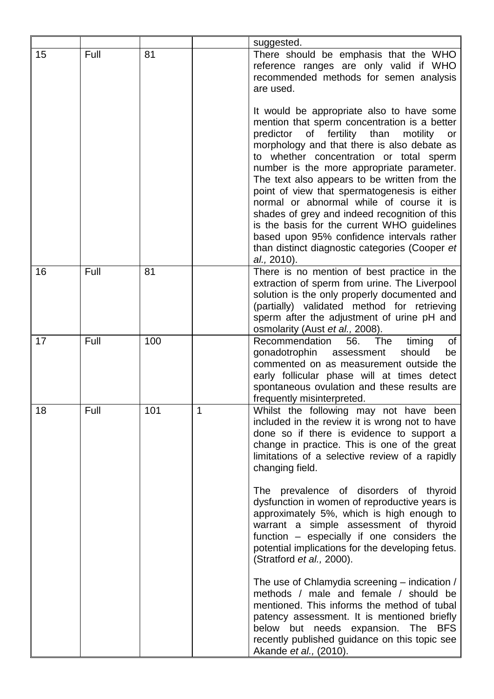|    |      |     |   | suggested.                                                                                                                                                                                                                                                                                                                                                                                                                                                                                                                                                                                                                                            |
|----|------|-----|---|-------------------------------------------------------------------------------------------------------------------------------------------------------------------------------------------------------------------------------------------------------------------------------------------------------------------------------------------------------------------------------------------------------------------------------------------------------------------------------------------------------------------------------------------------------------------------------------------------------------------------------------------------------|
| 15 | Full | 81  |   | There should be emphasis that the WHO<br>reference ranges are only valid if WHO<br>recommended methods for semen analysis<br>are used.                                                                                                                                                                                                                                                                                                                                                                                                                                                                                                                |
|    |      |     |   | It would be appropriate also to have some<br>mention that sperm concentration is a better<br>fertility<br>of<br>than<br>predictor<br>motility<br>or<br>morphology and that there is also debate as<br>to whether concentration or total sperm<br>number is the more appropriate parameter.<br>The text also appears to be written from the<br>point of view that spermatogenesis is either<br>normal or abnormal while of course it is<br>shades of grey and indeed recognition of this<br>is the basis for the current WHO guidelines<br>based upon 95% confidence intervals rather<br>than distinct diagnostic categories (Cooper et<br>al., 2010). |
| 16 | Full | 81  |   | There is no mention of best practice in the<br>extraction of sperm from urine. The Liverpool<br>solution is the only properly documented and<br>(partially) validated method for retrieving<br>sperm after the adjustment of urine pH and<br>osmolarity (Aust et al., 2008).                                                                                                                                                                                                                                                                                                                                                                          |
| 17 | Full | 100 |   | Recommendation<br>56.<br>The<br>timing<br>Οf<br>gonadotrophin<br>assessment<br>should<br>be<br>commented on as measurement outside the<br>early follicular phase will at times detect<br>spontaneous ovulation and these results are<br>frequently misinterpreted.                                                                                                                                                                                                                                                                                                                                                                                    |
| 18 | Full | 101 | 1 | Whilst the following may not have been<br>included in the review it is wrong not to have<br>done so if there is evidence to support a<br>change in practice. This is one of the great<br>limitations of a selective review of a rapidly<br>changing field.                                                                                                                                                                                                                                                                                                                                                                                            |
|    |      |     |   | The prevalence of disorders of thyroid<br>dysfunction in women of reproductive years is<br>approximately 5%, which is high enough to<br>warrant a simple assessment of thyroid<br>function - especially if one considers the<br>potential implications for the developing fetus.<br>(Stratford et al., 2000).                                                                                                                                                                                                                                                                                                                                         |
|    |      |     |   | The use of Chlamydia screening – indication /<br>methods / male and female / should be<br>mentioned. This informs the method of tubal<br>patency assessment. It is mentioned briefly<br>below but needs expansion. The<br><b>BFS</b><br>recently published guidance on this topic see<br>Akande et al., (2010).                                                                                                                                                                                                                                                                                                                                       |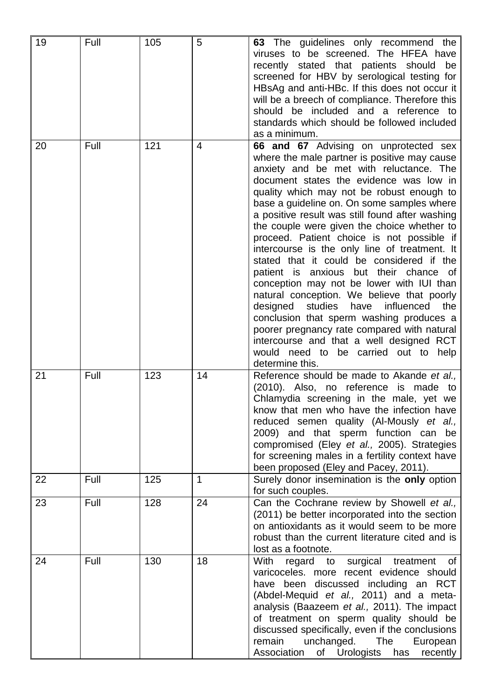| 19 | Full | 105 | 5  | The guidelines only recommend the<br>63<br>viruses to be screened. The HFEA have<br>recently stated that patients should<br>be<br>screened for HBV by serological testing for<br>HBsAg and anti-HBc. If this does not occur it<br>will be a breech of compliance. Therefore this<br>should be included and a reference to<br>standards which should be followed included<br>as a minimum.                                                                                                                                                                                                                                                                                                                                                                                                                                                                                                                          |
|----|------|-----|----|--------------------------------------------------------------------------------------------------------------------------------------------------------------------------------------------------------------------------------------------------------------------------------------------------------------------------------------------------------------------------------------------------------------------------------------------------------------------------------------------------------------------------------------------------------------------------------------------------------------------------------------------------------------------------------------------------------------------------------------------------------------------------------------------------------------------------------------------------------------------------------------------------------------------|
| 20 | Full | 121 | 4  | 66 and 67 Advising on unprotected sex<br>where the male partner is positive may cause<br>anxiety and be met with reluctance. The<br>document states the evidence was low in<br>quality which may not be robust enough to<br>base a guideline on. On some samples where<br>a positive result was still found after washing<br>the couple were given the choice whether to<br>proceed. Patient choice is not possible if<br>intercourse is the only line of treatment. It<br>stated that it could be considered if the<br>patient is anxious but their chance of<br>conception may not be lower with IUI than<br>natural conception. We believe that poorly<br>studies<br>influenced<br>the<br>designed<br>have<br>conclusion that sperm washing produces a<br>poorer pregnancy rate compared with natural<br>intercourse and that a well designed RCT<br>would need to be carried out to<br>help<br>determine this. |
| 21 | Full | 123 | 14 | Reference should be made to Akande et al.,<br>(2010). Also, no reference is made to<br>Chlamydia screening in the male, yet we<br>know that men who have the infection have<br>reduced semen quality (Al-Mously et al.,<br>2009) and that sperm function can<br>be<br>compromised (Eley et al., 2005). Strategies<br>for screening males in a fertility context have<br>been proposed (Eley and Pacey, 2011).                                                                                                                                                                                                                                                                                                                                                                                                                                                                                                      |
| 22 | Full | 125 | 1  | Surely donor insemination is the only option<br>for such couples.                                                                                                                                                                                                                                                                                                                                                                                                                                                                                                                                                                                                                                                                                                                                                                                                                                                  |
| 23 | Full | 128 | 24 | Can the Cochrane review by Showell et al.,<br>(2011) be better incorporated into the section<br>on antioxidants as it would seem to be more<br>robust than the current literature cited and is<br>lost as a footnote.                                                                                                                                                                                                                                                                                                                                                                                                                                                                                                                                                                                                                                                                                              |
| 24 | Full | 130 | 18 | With<br>regard to<br>surgical<br>treatment<br>of<br>varicoceles. more recent evidence should<br>have been discussed including an RCT<br>(Abdel-Mequid et al., 2011) and a meta-<br>analysis (Baazeem et al., 2011). The impact<br>of treatment on sperm quality should be<br>discussed specifically, even if the conclusions<br>remain<br>unchanged.<br>The<br>European<br>Association<br>of Urologists<br>has<br>recently                                                                                                                                                                                                                                                                                                                                                                                                                                                                                         |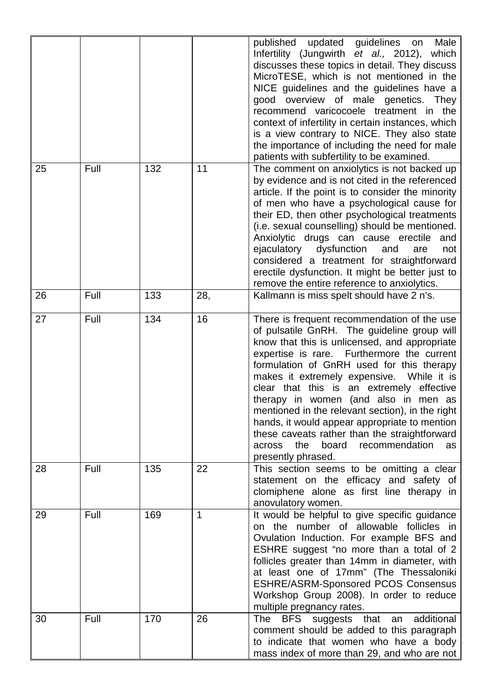|    |      |     |     | published updated guidelines<br>Male<br>on<br>Infertility (Jungwirth et al., 2012),<br>which<br>discusses these topics in detail. They discuss<br>MicroTESE, which is not mentioned in the<br>NICE guidelines and the guidelines have a<br>good overview of male genetics. They<br>recommend varicocoele treatment in the<br>context of infertility in certain instances, which<br>is a view contrary to NICE. They also state<br>the importance of including the need for male<br>patients with subfertility to be examined.                                                                          |
|----|------|-----|-----|--------------------------------------------------------------------------------------------------------------------------------------------------------------------------------------------------------------------------------------------------------------------------------------------------------------------------------------------------------------------------------------------------------------------------------------------------------------------------------------------------------------------------------------------------------------------------------------------------------|
| 25 | Full | 132 | 11  | The comment on anxiolytics is not backed up<br>by evidence and is not cited in the referenced<br>article. If the point is to consider the minority<br>of men who have a psychological cause for<br>their ED, then other psychological treatments<br>(i.e. sexual counselling) should be mentioned.<br>Anxiolytic drugs can cause erectile<br>and<br>ejaculatory dysfunction<br>and<br>not<br>are<br>considered a treatment for straightforward<br>erectile dysfunction. It might be better just to<br>remove the entire reference to anxiolytics.                                                      |
| 26 | Full | 133 | 28, | Kallmann is miss spelt should have 2 n's.                                                                                                                                                                                                                                                                                                                                                                                                                                                                                                                                                              |
| 27 | Full | 134 | 16  | There is frequent recommendation of the use<br>of pulsatile GnRH. The guideline group will<br>know that this is unlicensed, and appropriate<br>expertise is rare. Furthermore the current<br>formulation of GnRH used for this therapy<br>makes it extremely expensive. While it is<br>clear that this is an extremely effective<br>therapy in women (and also in men as<br>mentioned in the relevant section), in the right<br>hands, it would appear appropriate to mention<br>these caveats rather than the straightforward<br>the<br>board<br>recommendation<br>across<br>as<br>presently phrased. |
| 28 | Full | 135 | 22  | This section seems to be omitting a clear<br>statement on the efficacy and safety of<br>clomiphene alone as first line therapy in<br>anovulatory women.                                                                                                                                                                                                                                                                                                                                                                                                                                                |
| 29 | Full | 169 | 1   | It would be helpful to give specific guidance<br>on the number of allowable follicles in<br>Ovulation Induction. For example BFS and<br>ESHRE suggest "no more than a total of 2<br>follicles greater than 14mm in diameter, with<br>at least one of 17mm" (The Thessaloniki<br><b>ESHRE/ASRM-Sponsored PCOS Consensus</b><br>Workshop Group 2008). In order to reduce<br>multiple pregnancy rates.                                                                                                                                                                                                    |
| 30 | Full | 170 | 26  | <b>BFS</b><br>suggests that<br>additional<br>The<br>an<br>comment should be added to this paragraph<br>to indicate that women who have a body<br>mass index of more than 29, and who are not                                                                                                                                                                                                                                                                                                                                                                                                           |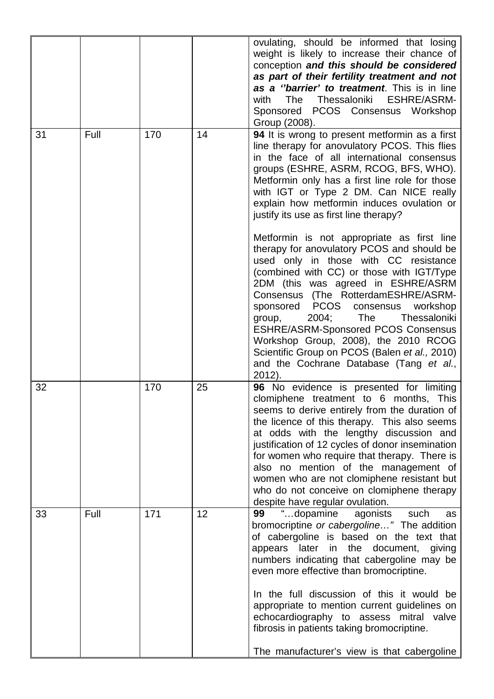|    |      |     |    | ovulating, should be informed that losing<br>weight is likely to increase their chance of<br>conception and this should be considered<br>as part of their fertility treatment and not<br>as a "barrier' to treatment. This is in line<br>Thessaloniki ESHRE/ASRM-<br>with<br>The<br>Sponsored PCOS Consensus Workshop<br>Group (2008).                                                                                                                                                                                                           |
|----|------|-----|----|--------------------------------------------------------------------------------------------------------------------------------------------------------------------------------------------------------------------------------------------------------------------------------------------------------------------------------------------------------------------------------------------------------------------------------------------------------------------------------------------------------------------------------------------------|
| 31 | Full | 170 | 14 | 94 It is wrong to present metformin as a first<br>line therapy for anovulatory PCOS. This flies<br>in the face of all international consensus<br>groups (ESHRE, ASRM, RCOG, BFS, WHO).<br>Metformin only has a first line role for those<br>with IGT or Type 2 DM. Can NICE really<br>explain how metformin induces ovulation or<br>justify its use as first line therapy?                                                                                                                                                                       |
|    |      |     |    | Metformin is not appropriate as first line<br>therapy for anovulatory PCOS and should be<br>used only in those with CC resistance<br>(combined with CC) or those with IGT/Type<br>2DM (this was agreed in ESHRE/ASRM<br>Consensus (The RotterdamESHRE/ASRM-<br>sponsored PCOS<br>consensus workshop<br>2004;<br><b>The</b><br>Thessaloniki<br>group,<br><b>ESHRE/ASRM-Sponsored PCOS Consensus</b><br>Workshop Group, 2008), the 2010 RCOG<br>Scientific Group on PCOS (Balen et al., 2010)<br>and the Cochrane Database (Tang et al.,<br>2012). |
| 32 |      | 170 | 25 | 96 No evidence is presented for limiting<br>clomiphene treatment to 6 months, This<br>seems to derive entirely from the duration of<br>the licence of this therapy. This also seems<br>at odds with the lengthy discussion and<br>justification of 12 cycles of donor insemination<br>for women who require that therapy. There is<br>also no mention of the management of<br>women who are not clomiphene resistant but<br>who do not conceive on clomiphene therapy<br>despite have regular ovulation.                                         |
| 33 | Full | 171 | 12 | "dopamine<br>agonists<br>99<br>such<br>as<br>bromocriptine or cabergoline" The addition<br>of cabergoline is based on the text that<br>the<br>later<br>document,<br>appears<br>in<br>giving<br>numbers indicating that cabergoline may be<br>even more effective than bromocriptine.<br>In the full discussion of this it would be<br>appropriate to mention current guidelines on<br>echocardiography to assess mitral valve<br>fibrosis in patients taking bromocriptine.<br>The manufacturer's view is that cabergoline                       |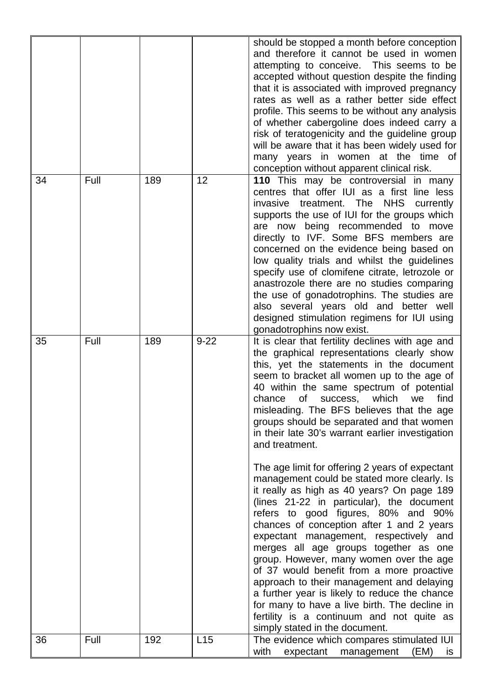|    |      |     |          | should be stopped a month before conception<br>and therefore it cannot be used in women<br>attempting to conceive. This seems to be<br>accepted without question despite the finding<br>that it is associated with improved pregnancy<br>rates as well as a rather better side effect<br>profile. This seems to be without any analysis<br>of whether cabergoline does indeed carry a<br>risk of teratogenicity and the guideline group<br>will be aware that it has been widely used for<br>many years in women at the time of<br>conception without apparent clinical risk.                                                                                                                                                                                                                                                                                                                                                                                                                                                                                                                                                                  |
|----|------|-----|----------|------------------------------------------------------------------------------------------------------------------------------------------------------------------------------------------------------------------------------------------------------------------------------------------------------------------------------------------------------------------------------------------------------------------------------------------------------------------------------------------------------------------------------------------------------------------------------------------------------------------------------------------------------------------------------------------------------------------------------------------------------------------------------------------------------------------------------------------------------------------------------------------------------------------------------------------------------------------------------------------------------------------------------------------------------------------------------------------------------------------------------------------------|
| 34 | Full | 189 | 12       | 110 This may be controversial in many<br>centres that offer IUI as a first line less<br>treatment. The NHS<br>invasive<br>currently<br>supports the use of IUI for the groups which<br>are now being recommended to move<br>directly to IVF. Some BFS members are<br>concerned on the evidence being based on<br>low quality trials and whilst the guidelines<br>specify use of clomifene citrate, letrozole or<br>anastrozole there are no studies comparing<br>the use of gonadotrophins. The studies are<br>also several years old and better well<br>designed stimulation regimens for IUI using<br>gonadotrophins now exist.                                                                                                                                                                                                                                                                                                                                                                                                                                                                                                              |
| 35 | Full | 189 | $9 - 22$ | It is clear that fertility declines with age and<br>the graphical representations clearly show<br>this, yet the statements in the document<br>seem to bracket all women up to the age of<br>40 within the same spectrum of potential<br>of<br>success, which<br>find<br>chance<br>we<br>misleading. The BFS believes that the age<br>groups should be separated and that women<br>in their late 30's warrant earlier investigation<br>and treatment.<br>The age limit for offering 2 years of expectant<br>management could be stated more clearly. Is<br>it really as high as 40 years? On page 189<br>(lines 21-22 in particular), the document<br>refers to good figures, 80% and 90%<br>chances of conception after 1 and 2 years<br>expectant management, respectively and<br>merges all age groups together as one<br>group. However, many women over the age<br>of 37 would benefit from a more proactive<br>approach to their management and delaying<br>a further year is likely to reduce the chance<br>for many to have a live birth. The decline in<br>fertility is a continuum and not quite as<br>simply stated in the document. |
| 36 | Full | 192 | L15      | The evidence which compares stimulated IUI<br>with<br>expectant<br>management<br>(EM)<br>is.                                                                                                                                                                                                                                                                                                                                                                                                                                                                                                                                                                                                                                                                                                                                                                                                                                                                                                                                                                                                                                                   |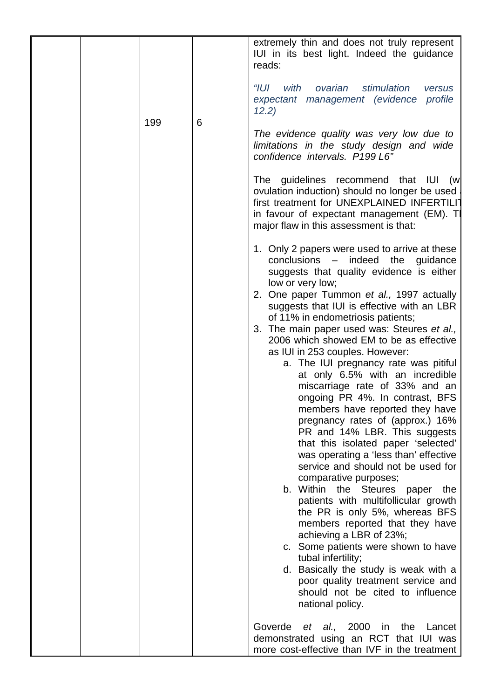|  |     |   | extremely thin and does not truly represent<br>IUI in its best light. Indeed the guidance<br>reads:                                                                                                                                                                                                                                                                                                                                                                                                                                                                                                                                                                                                                                                                                                                                                                                                                                                                                                                                                                                                                                                                                                       |
|--|-----|---|-----------------------------------------------------------------------------------------------------------------------------------------------------------------------------------------------------------------------------------------------------------------------------------------------------------------------------------------------------------------------------------------------------------------------------------------------------------------------------------------------------------------------------------------------------------------------------------------------------------------------------------------------------------------------------------------------------------------------------------------------------------------------------------------------------------------------------------------------------------------------------------------------------------------------------------------------------------------------------------------------------------------------------------------------------------------------------------------------------------------------------------------------------------------------------------------------------------|
|  | 199 | 6 | "IUI<br>with ovarian<br>stimulation<br>versus<br>expectant management (evidence profile<br>12.2)                                                                                                                                                                                                                                                                                                                                                                                                                                                                                                                                                                                                                                                                                                                                                                                                                                                                                                                                                                                                                                                                                                          |
|  |     |   | The evidence quality was very low due to<br>limitations in the study design and wide<br>confidence intervals. P199 L6"                                                                                                                                                                                                                                                                                                                                                                                                                                                                                                                                                                                                                                                                                                                                                                                                                                                                                                                                                                                                                                                                                    |
|  |     |   | The guidelines recommend that IUI<br>(w<br>ovulation induction) should no longer be used<br>first treatment for UNEXPLAINED INFERTILIT<br>in favour of expectant management (EM). Th<br>major flaw in this assessment is that:                                                                                                                                                                                                                                                                                                                                                                                                                                                                                                                                                                                                                                                                                                                                                                                                                                                                                                                                                                            |
|  |     |   | 1. Only 2 papers were used to arrive at these<br>conclusions - indeed the guidance<br>suggests that quality evidence is either<br>low or very low;<br>2. One paper Tummon et al., 1997 actually<br>suggests that IUI is effective with an LBR<br>of 11% in endometriosis patients;<br>3. The main paper used was: Steures et al.,<br>2006 which showed EM to be as effective<br>as IUI in 253 couples. However:<br>a. The IUI pregnancy rate was pitiful<br>at only 6.5% with an incredible<br>miscarriage rate of 33% and an<br>ongoing PR 4%. In contrast, BFS<br>members have reported they have<br>pregnancy rates of (approx.) 16%<br>PR and 14% LBR. This suggests<br>that this isolated paper 'selected'<br>was operating a 'less than' effective<br>service and should not be used for<br>comparative purposes;<br>b. Within the Steures paper<br>the<br>patients with multifollicular growth<br>the PR is only 5%, whereas BFS<br>members reported that they have<br>achieving a LBR of 23%;<br>c. Some patients were shown to have<br>tubal infertility;<br>d. Basically the study is weak with a<br>poor quality treatment service and<br>should not be cited to influence<br>national policy. |
|  |     |   | Goverde<br>al., 2000<br>in<br>the<br>Lancet<br>et<br>demonstrated using an RCT that IUI was<br>more cost-effective than IVF in the treatment                                                                                                                                                                                                                                                                                                                                                                                                                                                                                                                                                                                                                                                                                                                                                                                                                                                                                                                                                                                                                                                              |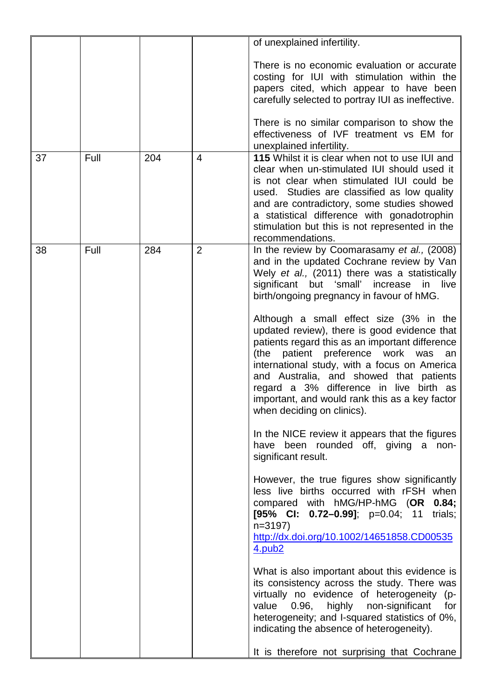|    |      |     |                | of unexplained infertility.                                                                                                                                                                                                                                                                                                                                                                                                                                                                                                                                                                                                                                                                                                                                                                                                                                                                                                                                                                                                                                                                                                                                                                                                                                                                                                                                                                              |
|----|------|-----|----------------|----------------------------------------------------------------------------------------------------------------------------------------------------------------------------------------------------------------------------------------------------------------------------------------------------------------------------------------------------------------------------------------------------------------------------------------------------------------------------------------------------------------------------------------------------------------------------------------------------------------------------------------------------------------------------------------------------------------------------------------------------------------------------------------------------------------------------------------------------------------------------------------------------------------------------------------------------------------------------------------------------------------------------------------------------------------------------------------------------------------------------------------------------------------------------------------------------------------------------------------------------------------------------------------------------------------------------------------------------------------------------------------------------------|
|    |      |     |                | There is no economic evaluation or accurate<br>costing for IUI with stimulation within the<br>papers cited, which appear to have been<br>carefully selected to portray IUI as ineffective.<br>There is no similar comparison to show the<br>effectiveness of IVF treatment vs EM for<br>unexplained infertility.                                                                                                                                                                                                                                                                                                                                                                                                                                                                                                                                                                                                                                                                                                                                                                                                                                                                                                                                                                                                                                                                                         |
| 37 | Full | 204 | $\overline{4}$ | 115 Whilst it is clear when not to use IUI and<br>clear when un-stimulated IUI should used it<br>is not clear when stimulated IUI could be<br>used. Studies are classified as low quality<br>and are contradictory, some studies showed<br>a statistical difference with gonadotrophin<br>stimulation but this is not represented in the<br>recommendations.                                                                                                                                                                                                                                                                                                                                                                                                                                                                                                                                                                                                                                                                                                                                                                                                                                                                                                                                                                                                                                             |
| 38 | Full | 284 | $\overline{2}$ | In the review by Coomarasamy et al., (2008)<br>and in the updated Cochrane review by Van<br>Wely et al., (2011) there was a statistically<br>significant but 'small'<br>increase<br>in<br>live<br>birth/ongoing pregnancy in favour of hMG.<br>Although a small effect size (3% in the<br>updated review), there is good evidence that<br>patients regard this as an important difference<br>preference work<br>(the<br>patient<br>was<br>an<br>international study, with a focus on America<br>and Australia, and showed that patients<br>regard a 3% difference in live birth as<br>important, and would rank this as a key factor<br>when deciding on clinics).<br>In the NICE review it appears that the figures<br>have been rounded off, giving a non-<br>significant result.<br>However, the true figures show significantly<br>less live births occurred with rFSH when<br>compared with hMG/HP-hMG (OR<br>0.84;<br>[95% CI: 0.72-0.99]; $p=0.04$ ; 11<br>trials;<br>$n = 3197$<br>http://dx.doi.org/10.1002/14651858.CD00535<br>4.pub <sub>2</sub><br>What is also important about this evidence is<br>its consistency across the study. There was<br>virtually no evidence of heterogeneity (p-<br>0.96, highly non-significant<br>value<br>for<br>heterogeneity; and I-squared statistics of 0%,<br>indicating the absence of heterogeneity).<br>It is therefore not surprising that Cochrane |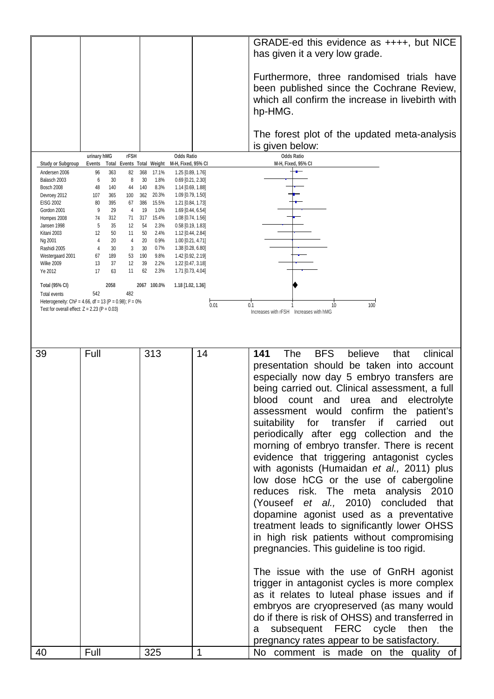|                                                |                                                                        |                                                                       |      | GRADE-ed this evidence as ++++, but NICE<br>has given it a very low grade.         |
|------------------------------------------------|------------------------------------------------------------------------|-----------------------------------------------------------------------|------|------------------------------------------------------------------------------------|
|                                                |                                                                        |                                                                       |      | Furthermore, three randomised trials have                                          |
|                                                |                                                                        |                                                                       |      | been published since the Cochrane Review,                                          |
|                                                |                                                                        |                                                                       |      | which all confirm the increase in livebirth with                                   |
|                                                |                                                                        |                                                                       |      | hp-HMG.                                                                            |
|                                                |                                                                        |                                                                       |      |                                                                                    |
|                                                |                                                                        |                                                                       |      | The forest plot of the updated meta-analysis                                       |
|                                                |                                                                        |                                                                       |      | is given below:                                                                    |
|                                                | urinary hMG<br><b>rFSH</b>                                             | <b>Odds Ratio</b>                                                     |      | <b>Odds Ratio</b>                                                                  |
| <b>Study or Subgroup</b><br>Andersen 2006      | <b>Events</b><br><b>Total Events Total Weight</b><br>363<br>96<br>82   | M-H, Fixed, 95% CI<br>368<br>17.1%<br>1.25 [0.89, 1.76]               |      | M-H, Fixed, 95% CI                                                                 |
| Balasch 2003                                   | 6<br>8<br>30                                                           | 30<br>1.8%<br>$0.69$ [0.21, 2.30]                                     |      |                                                                                    |
| Bosch 2008<br>Devroey 2012                     | 48<br>140<br>44<br>100<br>107<br>365                                   | 140<br>8.3%<br>1.14 [0.69, 1.88]<br>362<br>20.3%<br>1.09 [0.79, 1.50] |      |                                                                                    |
| EISG 2002                                      | 80<br>395<br>67                                                        | 386<br>15.5%<br>1.21 [0.84, 1.73]                                     |      |                                                                                    |
| Gordon 2001<br>Hompes 2008                     | 9<br>29<br>4<br>312<br>71                                              | 19<br>1.0%<br>1.69 [0.44, 6.54]<br>15.4%<br>1.08 [0.74, 1.56]<br>317  |      |                                                                                    |
| Jansen 1998                                    | 74<br>5<br>35<br>12                                                    | 54<br>2.3%<br>$0.58$ [0.19, 1.83]                                     |      |                                                                                    |
| Kitani 2003                                    | 50<br>11<br>12<br>4                                                    | 50<br>2.4%<br>1.12 [0.44, 2.84]                                       |      |                                                                                    |
| Ng 2001<br>Rashidi 2005                        | 4<br>20<br>30<br>3<br>4                                                | 20<br>0.9%<br>1.00 [0.21, 4.71]<br>30<br>0.7%<br>1.38 [0.28, 6.80]    |      |                                                                                    |
| Westergaard 2001                               | 67<br>189<br>53                                                        | 9.8%<br>190<br>1.42 [0.92, 2.19]                                      |      |                                                                                    |
| Wilke 2009<br>Ye 2012                          | 13<br>37<br>12<br>17<br>63<br>11                                       | 39<br>2.2%<br>1.22 [0.47, 3.18]<br>62<br>2.3%<br>1.71 [0.73, 4.04]    |      |                                                                                    |
| <b>Total (95% CI)</b>                          | 2058                                                                   | 2067 100.0%<br>1.18 [1.02, 1.36]                                      |      |                                                                                    |
| Total events                                   | 542<br>482                                                             |                                                                       |      |                                                                                    |
|                                                | Heterogeneity: Chi <sup>2</sup> = 4.66, df = 13 (P = 0.98); $1^2$ = 0% |                                                                       | 0.01 | 0.1<br>10<br>100                                                                   |
| Test for overall effect: $Z = 2.23$ (P = 0.03) |                                                                        |                                                                       |      | Increases with rFSH Increases with hMG                                             |
|                                                |                                                                        |                                                                       |      |                                                                                    |
|                                                |                                                                        |                                                                       |      |                                                                                    |
| 39                                             | Full                                                                   | 313                                                                   | 14   | <b>BFS</b><br>believe<br>141<br><b>The</b><br>that<br>clinical                     |
|                                                |                                                                        |                                                                       |      | presentation should be taken into account                                          |
|                                                |                                                                        |                                                                       |      | especially now day 5 embryo transfers are                                          |
|                                                |                                                                        |                                                                       |      | being carried out. Clinical assessment, a full                                     |
|                                                |                                                                        |                                                                       |      | blood<br>count<br>electrolyte<br>and<br>and<br>urea                                |
|                                                |                                                                        |                                                                       |      | assessment would confirm the patient's                                             |
|                                                |                                                                        |                                                                       |      | suitability for transfer<br>carried<br>out<br>if                                   |
|                                                |                                                                        |                                                                       |      |                                                                                    |
|                                                |                                                                        |                                                                       |      | periodically after egg collection and the                                          |
|                                                |                                                                        |                                                                       |      | morning of embryo transfer. There is recent                                        |
|                                                |                                                                        |                                                                       |      | evidence that triggering antagonist cycles                                         |
|                                                |                                                                        |                                                                       |      | with agonists (Humaidan et al., 2011) plus                                         |
|                                                |                                                                        |                                                                       |      | low dose hCG or the use of cabergoline                                             |
|                                                |                                                                        |                                                                       |      | reduces risk. The meta analysis 2010                                               |
|                                                |                                                                        |                                                                       |      | (Youseef et al., 2010) concluded that                                              |
|                                                |                                                                        |                                                                       |      | dopamine agonist used as a preventative                                            |
|                                                |                                                                        |                                                                       |      | treatment leads to significantly lower OHSS                                        |
|                                                |                                                                        |                                                                       |      | in high risk patients without compromising                                         |
|                                                |                                                                        |                                                                       |      | pregnancies. This guideline is too rigid.                                          |
|                                                |                                                                        |                                                                       |      |                                                                                    |
|                                                |                                                                        |                                                                       |      |                                                                                    |
|                                                |                                                                        |                                                                       |      | The issue with the use of GnRH agonist                                             |
|                                                |                                                                        |                                                                       |      | trigger in antagonist cycles is more complex                                       |
|                                                |                                                                        |                                                                       |      | as it relates to luteal phase issues and if                                        |
|                                                |                                                                        |                                                                       |      | embryos are cryopreserved (as many would                                           |
|                                                |                                                                        |                                                                       |      | do if there is risk of OHSS) and transferred in                                    |
|                                                |                                                                        |                                                                       |      | subsequent FERC cycle then the<br>a                                                |
| 40                                             | Full                                                                   | 325                                                                   | 1    | pregnancy rates appear to be satisfactory.<br>No comment is made on the quality of |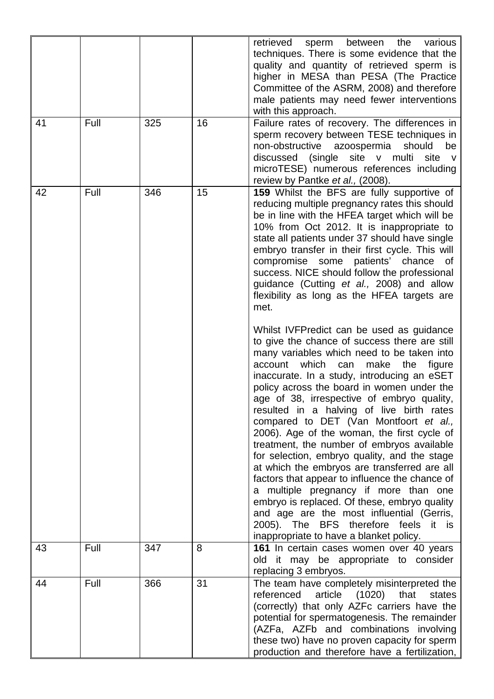|    |      |     |    | retrieved<br>sperm between the<br>various<br>techniques. There is some evidence that the<br>quality and quantity of retrieved sperm is<br>higher in MESA than PESA (The Practice<br>Committee of the ASRM, 2008) and therefore<br>male patients may need fewer interventions<br>with this approach.                                                                                                                                                                                                                                                                                                                                                                                                                                                                                                                                                                                                    |
|----|------|-----|----|--------------------------------------------------------------------------------------------------------------------------------------------------------------------------------------------------------------------------------------------------------------------------------------------------------------------------------------------------------------------------------------------------------------------------------------------------------------------------------------------------------------------------------------------------------------------------------------------------------------------------------------------------------------------------------------------------------------------------------------------------------------------------------------------------------------------------------------------------------------------------------------------------------|
| 41 | Full | 325 | 16 | Failure rates of recovery. The differences in<br>sperm recovery between TESE techniques in<br>non-obstructive azoospermia<br>should<br>be<br>discussed (single site v multi site v<br>microTESE) numerous references including<br>review by Pantke et al., (2008).                                                                                                                                                                                                                                                                                                                                                                                                                                                                                                                                                                                                                                     |
| 42 | Full | 346 | 15 | 159 Whilst the BFS are fully supportive of<br>reducing multiple pregnancy rates this should<br>be in line with the HFEA target which will be<br>10% from Oct 2012. It is inappropriate to<br>state all patients under 37 should have single<br>embryo transfer in their first cycle. This will<br>compromise some patients' chance of<br>success. NICE should follow the professional<br>guidance (Cutting et al., 2008) and allow<br>flexibility as long as the HFEA targets are<br>met.                                                                                                                                                                                                                                                                                                                                                                                                              |
|    |      |     |    | Whilst IVFPredict can be used as guidance<br>to give the chance of success there are still<br>many variables which need to be taken into<br>which<br>make<br>account<br>can<br>the<br>figure<br>inaccurate. In a study, introducing an eSET<br>policy across the board in women under the<br>age of 38, irrespective of embryo quality,<br>resulted in a halving of live birth rates<br>compared to DET (Van Montfoort et al.,<br>2006). Age of the woman, the first cycle of<br>treatment, the number of embryos available<br>for selection, embryo quality, and the stage<br>at which the embryos are transferred are all<br>factors that appear to influence the chance of<br>a multiple pregnancy if more than one<br>embryo is replaced. Of these, embryo quality<br>and age are the most influential (Gerris,<br>2005). The BFS therefore feels it is<br>inappropriate to have a blanket policy. |
| 43 | Full | 347 | 8  | 161 In certain cases women over 40 years<br>it may be appropriate to consider<br>old<br>replacing 3 embryos.                                                                                                                                                                                                                                                                                                                                                                                                                                                                                                                                                                                                                                                                                                                                                                                           |
| 44 | Full | 366 | 31 | The team have completely misinterpreted the<br>referenced<br>article (1020)<br>that<br>states<br>(correctly) that only AZFc carriers have the<br>potential for spermatogenesis. The remainder<br>(AZFa, AZFb and combinations involving<br>these two) have no proven capacity for sperm<br>production and therefore have a fertilization,                                                                                                                                                                                                                                                                                                                                                                                                                                                                                                                                                              |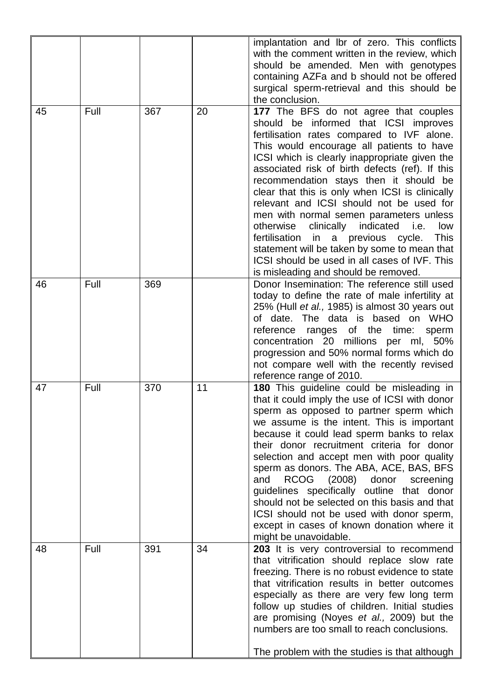|    |      |     |    | implantation and lbr of zero. This conflicts<br>with the comment written in the review, which<br>should be amended. Men with genotypes<br>containing AZFa and b should not be offered<br>surgical sperm-retrieval and this should be<br>the conclusion.                                                                                                                                                                                                                                                                                                                                                                                                                                                         |
|----|------|-----|----|-----------------------------------------------------------------------------------------------------------------------------------------------------------------------------------------------------------------------------------------------------------------------------------------------------------------------------------------------------------------------------------------------------------------------------------------------------------------------------------------------------------------------------------------------------------------------------------------------------------------------------------------------------------------------------------------------------------------|
| 45 | Full | 367 | 20 | 177 The BFS do not agree that couples<br>should be informed that ICSI improves<br>fertilisation rates compared to IVF alone.<br>This would encourage all patients to have<br>ICSI which is clearly inappropriate given the<br>associated risk of birth defects (ref). If this<br>recommendation stays then it should be<br>clear that this is only when ICSI is clinically<br>relevant and ICSI should not be used for<br>men with normal semen parameters unless<br>otherwise<br>clinically indicated<br>i.e.<br>low<br>fertilisation<br>in a previous cycle.<br>This<br>statement will be taken by some to mean that<br>ICSI should be used in all cases of IVF. This<br>is misleading and should be removed. |
| 46 | Full | 369 |    | Donor Insemination: The reference still used<br>today to define the rate of male infertility at<br>25% (Hull et al., 1985) is almost 30 years out<br>of date. The data is based on WHO<br>reference<br>ranges of the time:<br>sperm<br>concentration 20 millions per ml, 50%<br>progression and 50% normal forms which do<br>not compare well with the recently revised<br>reference range of 2010.                                                                                                                                                                                                                                                                                                             |
| 47 | Full | 370 | 11 | 180 This guideline could be misleading in<br>that it could imply the use of ICSI with donor<br>sperm as opposed to partner sperm which<br>we assume is the intent. This is important<br>because it could lead sperm banks to relax<br>their donor recruitment criteria for donor<br>selection and accept men with poor quality<br>sperm as donors. The ABA, ACE, BAS, BFS<br><b>RCOG</b><br>(2008)<br>and<br>donor<br>screening<br>guidelines specifically outline that donor<br>should not be selected on this basis and that<br>ICSI should not be used with donor sperm,<br>except in cases of known donation where it<br>might be unavoidable.                                                              |
| 48 | Full | 391 | 34 | 203 It is very controversial to recommend<br>that vitrification should replace slow rate<br>freezing. There is no robust evidence to state<br>that vitrification results in better outcomes<br>especially as there are very few long term<br>follow up studies of children. Initial studies<br>are promising (Noyes et al., 2009) but the<br>numbers are too small to reach conclusions.<br>The problem with the studies is that although                                                                                                                                                                                                                                                                       |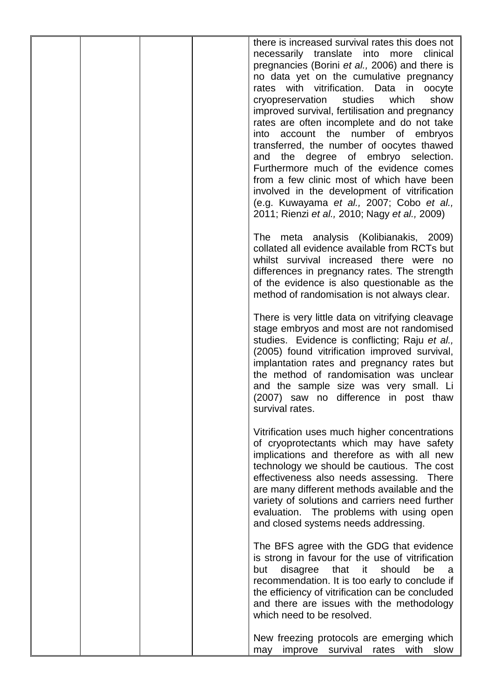|  |  | there is increased survival rates this does not<br>necessarily translate into more clinical<br>pregnancies (Borini et al., 2006) and there is<br>no data yet on the cumulative pregnancy<br>rates with vitrification. Data in oocyte<br>cryopreservation studies which<br>show<br>improved survival, fertilisation and pregnancy<br>rates are often incomplete and do not take<br>into account the number of embryos<br>transferred, the number of oocytes thawed<br>and the degree of embryo selection.<br>Furthermore much of the evidence comes<br>from a few clinic most of which have been<br>involved in the development of vitrification<br>(e.g. Kuwayama et al., 2007; Cobo et al.,<br>2011; Rienzi et al., 2010; Nagy et al., 2009) |
|--|--|-----------------------------------------------------------------------------------------------------------------------------------------------------------------------------------------------------------------------------------------------------------------------------------------------------------------------------------------------------------------------------------------------------------------------------------------------------------------------------------------------------------------------------------------------------------------------------------------------------------------------------------------------------------------------------------------------------------------------------------------------|
|  |  | The meta analysis (Kolibianakis, 2009)<br>collated all evidence available from RCTs but<br>whilst survival increased there were no<br>differences in pregnancy rates. The strength<br>of the evidence is also questionable as the<br>method of randomisation is not always clear.                                                                                                                                                                                                                                                                                                                                                                                                                                                             |
|  |  | There is very little data on vitrifying cleavage<br>stage embryos and most are not randomised<br>studies. Evidence is conflicting; Raju et al.,<br>(2005) found vitrification improved survival,<br>implantation rates and pregnancy rates but<br>the method of randomisation was unclear<br>and the sample size was very small. Li<br>(2007) saw no difference in post thaw<br>survival rates.                                                                                                                                                                                                                                                                                                                                               |
|  |  | Vitrification uses much higher concentrations<br>of cryoprotectants which may have safety<br>implications and therefore as with all new<br>technology we should be cautious. The cost<br>effectiveness also needs assessing. There<br>are many different methods available and the<br>variety of solutions and carriers need further<br>evaluation. The problems with using open<br>and closed systems needs addressing.                                                                                                                                                                                                                                                                                                                      |
|  |  | The BFS agree with the GDG that evidence<br>is strong in favour for the use of vitrification<br>that<br>it<br>disagree<br>should<br>be<br>but<br>a<br>recommendation. It is too early to conclude if<br>the efficiency of vitrification can be concluded<br>and there are issues with the methodology<br>which need to be resolved.                                                                                                                                                                                                                                                                                                                                                                                                           |
|  |  | New freezing protocols are emerging which<br>improve<br>survival<br>rates<br>with<br>slow<br>may                                                                                                                                                                                                                                                                                                                                                                                                                                                                                                                                                                                                                                              |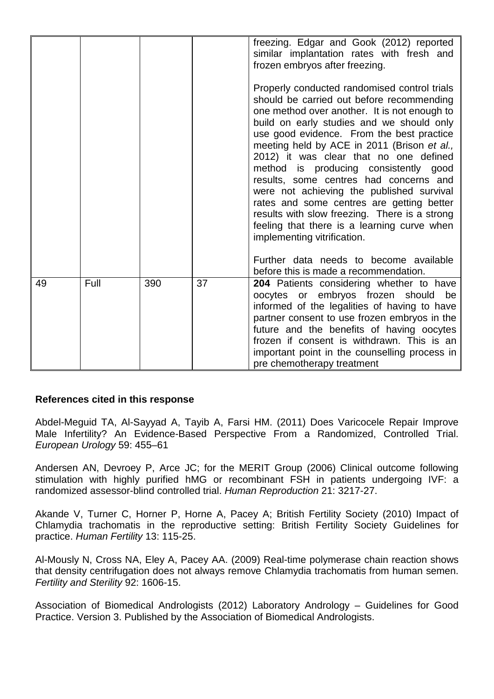|    |      |     |    | freezing. Edgar and Gook (2012) reported<br>similar implantation rates with fresh and<br>frozen embryos after freezing.                                                                                                                                                                                                                                                                                                                                                                                                                                                                                                                  |
|----|------|-----|----|------------------------------------------------------------------------------------------------------------------------------------------------------------------------------------------------------------------------------------------------------------------------------------------------------------------------------------------------------------------------------------------------------------------------------------------------------------------------------------------------------------------------------------------------------------------------------------------------------------------------------------------|
|    |      |     |    | Properly conducted randomised control trials<br>should be carried out before recommending<br>one method over another. It is not enough to<br>build on early studies and we should only<br>use good evidence. From the best practice<br>meeting held by ACE in 2011 (Brison et al.,<br>2012) it was clear that no one defined<br>method is producing consistently good<br>results, some centres had concerns and<br>were not achieving the published survival<br>rates and some centres are getting better<br>results with slow freezing. There is a strong<br>feeling that there is a learning curve when<br>implementing vitrification. |
|    |      |     |    | Further data needs to become available<br>before this is made a recommendation.                                                                                                                                                                                                                                                                                                                                                                                                                                                                                                                                                          |
| 49 | Full | 390 | 37 | 204 Patients considering whether to have<br>oocytes or embryos frozen should be<br>informed of the legalities of having to have<br>partner consent to use frozen embryos in the<br>future and the benefits of having oocytes<br>frozen if consent is withdrawn. This is an<br>important point in the counselling process in<br>pre chemotherapy treatment                                                                                                                                                                                                                                                                                |

## **References cited in this response**

Abdel-Meguid TA, Al-Sayyad A, Tayib A, Farsi HM. (2011) Does Varicocele Repair Improve Male Infertility? An Evidence-Based Perspective From a Randomized, Controlled Trial. *European Urology* 59: 455–61

Andersen AN, Devroey P, Arce JC; for the MERIT Group (2006) Clinical outcome following stimulation with highly purified hMG or recombinant FSH in patients undergoing IVF: a randomized assessor-blind controlled trial. *Human Reproduction* 21: 3217-27.

Akande V, Turner C, Horner P, Horne A, Pacey A; British Fertility Society (2010) Impact of Chlamydia trachomatis in the reproductive setting: British Fertility Society Guidelines for practice. *Human Fertility* 13: 115-25.

Al-Mously N, Cross NA, Eley A, Pacey AA. (2009) Real-time polymerase chain reaction shows that density centrifugation does not always remove Chlamydia trachomatis from human semen. *Fertility and Sterility* 92: 1606-15.

Association of Biomedical Andrologists (2012) Laboratory Andrology – Guidelines for Good Practice. Version 3. Published by the Association of Biomedical Andrologists.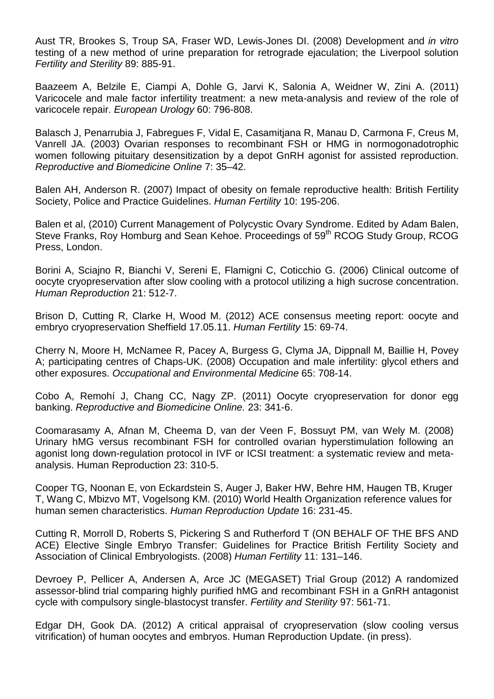[Aust](http://www.ncbi.nlm.nih.gov/pubmed?term=Aust%20TR%5BAuthor%5D&cauthor=true&cauthor_uid=17980365) TR, [Brookes S,](http://www.ncbi.nlm.nih.gov/pubmed?term=Brookes%20S%5BAuthor%5D&cauthor=true&cauthor_uid=17980365) [Troup SA,](http://www.ncbi.nlm.nih.gov/pubmed?term=Troup%20SA%5BAuthor%5D&cauthor=true&cauthor_uid=17980365) [Fraser WD,](http://www.ncbi.nlm.nih.gov/pubmed?term=Fraser%20WD%5BAuthor%5D&cauthor=true&cauthor_uid=17980365) [Lewis-Jones DI.](http://www.ncbi.nlm.nih.gov/pubmed?term=Lewis-Jones%20DI%5BAuthor%5D&cauthor=true&cauthor_uid=17980365) (2008) Development and *in vitro* testing of a new method of urine preparation for retrograde ejaculation; the Liverpool solution *Fertility and Sterility* 89: 885-91.

Baazeem A, Belzile E, Ciampi A, Dohle G, Jarvi K, Salonia A, Weidner W, Zini A. (2011) Varicocele and male factor infertility treatment: a new meta-analysis and review of the role of varicocele repair. *European Urology* 60: 796-808.

Balasch J, Penarrubia J, Fabregues F, Vidal E, Casamitjana R, Manau D, Carmona F, Creus M, Vanrell JA. (2003) Ovarian responses to recombinant FSH or HMG in normogonadotrophic women following pituitary desensitization by a depot GnRH agonist for assisted reproduction. *Reproductive and Biomedicine Online* 7: 35–42.

Balen AH, Anderson R. (2007) Impact of obesity on female reproductive health: British Fertility Society, Police and Practice Guidelines. *Human Fertility* 10: 195-206.

Balen et al, (2010) Current Management of Polycystic Ovary Syndrome. Edited by Adam Balen, Steve Franks, Roy Homburg and Sean Kehoe. Proceedings of 59<sup>th</sup> RCOG Study Group, RCOG Press, London.

Borini A, Sciajno R, Bianchi V, Sereni E, Flamigni C, Coticchio G. (2006) Clinical outcome of oocyte cryopreservation after slow cooling with a protocol utilizing a high sucrose concentration. *Human Reproduction* 21: 512-7.

Brison D, Cutting R, Clarke H, Wood M. (2012) ACE consensus meeting report: oocyte and embryo cryopreservation Sheffield 17.05.11. *Human Fertility* 15: 69-74.

Cherry N, Moore H, McNamee R, Pacey A, Burgess G, Clyma JA, Dippnall M, Baillie H, Povey A; participating centres of Chaps-UK. (2008) Occupation and male infertility: glycol ethers and other exposures. *Occupational and Environmental Medicine* 65: 708-14.

Cobo A, Remohí J, Chang CC, Nagy ZP. (2011) Oocyte cryopreservation for donor egg banking. *Reproductive and Biomedicine Online.* 23: 341-6.

Coomarasamy A, Afnan M, Cheema D, van der Veen F, Bossuyt PM, van Wely M. (2008) Urinary hMG versus recombinant FSH for controlled ovarian hyperstimulation following an agonist long down-regulation protocol in IVF or ICSI treatment: a systematic review and metaanalysis. Human Reproduction 23: 310-5.

Cooper TG, Noonan E, von Eckardstein S, Auger J, Baker HW, Behre HM, Haugen TB, Kruger T, Wang C, Mbizvo MT, Vogelsong KM. (2010) World Health Organization reference values for human semen characteristics. *Human Reproduction Update* 16: 231-45.

Cutting R, Morroll D, Roberts S, Pickering S and Rutherford T (ON BEHALF OF THE BFS AND ACE) Elective Single Embryo Transfer: Guidelines for Practice British Fertility Society and Association of Clinical Embryologists. (2008) *Human Fertility* 11: 131–146.

Devroey P, Pellicer A, Andersen A, Arce JC (MEGASET) Trial Group (2012) A randomized assessor-blind trial comparing highly purified hMG and recombinant FSH in a GnRH antagonist cycle with compulsory single-blastocyst transfer. *Fertility and Sterility* 97: 561-71.

Edgar DH, Gook DA. (2012) A critical appraisal of cryopreservation (slow cooling versus vitrification) of human oocytes and embryos. Human Reproduction Update. (in press).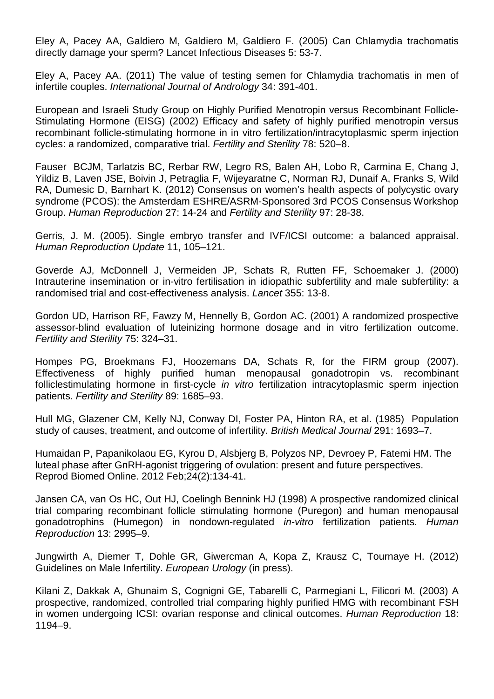Eley A, Pacey AA, Galdiero M, Galdiero M, Galdiero F. (2005) [Can Chlamydia trachomatis](http://www.ncbi.nlm.nih.gov/pubmed/15620561)  [directly damage your sperm?](http://www.ncbi.nlm.nih.gov/pubmed/15620561) Lancet Infectious Diseases 5: 53-7.

Eley A, Pacey AA. (2011) [The value of testing semen for Chlamydia trachomatis in](http://www.ncbi.nlm.nih.gov/pubmed/20731730) men of [infertile couples.](http://www.ncbi.nlm.nih.gov/pubmed/20731730) *International Journal of Andrology* 34: 391-401.

European and Israeli Study Group on Highly Purified Menotropin versus Recombinant Follicle-Stimulating Hormone (EISG) (2002) Efficacy and safety of highly purified menotropin versus recombinant follicle-stimulating hormone in in vitro fertilization/intracytoplasmic sperm injection cycles: a randomized, comparative trial. *Fertility and Sterility* 78: 520–8.

Fauser BCJM, Tarlatzis BC, Rerbar RW, Legro RS, Balen AH, Lobo R, Carmina E, Chang J, Yildiz B, Laven JSE, Boivin J, Petraglia F, Wijeyaratne C, Norman RJ, Dunaif A, Franks S, Wild RA, Dumesic D, Barnhart K. (2012) Consensus on women's health aspects of polycystic ovary syndrome (PCOS): the Amsterdam ESHRE/ASRM-Sponsored 3rd PCOS Consensus Workshop Group. *Human Reproduction* 27: 14-24 and *Fertility and Sterility* 97: 28-38.

Gerris, J. M. (2005). Single embryo transfer and IVF/ICSI outcome: a balanced appraisal. *Human Reproduction Update* 11, 105–121.

Goverde AJ, McDonnell J, Vermeiden JP, Schats R, Rutten FF, Schoemaker J. (2000) Intrauterine insemination or in-vitro fertilisation in idiopathic subfertility and male subfertility: a randomised trial and cost-effectiveness analysis. *Lancet* 355: 13-8.

Gordon UD, Harrison RF, Fawzy M, Hennelly B, Gordon AC. (2001) A randomized prospective assessor-blind evaluation of luteinizing hormone dosage and in vitro fertilization outcome. *Fertility and Sterility* 75: 324–31.

Hompes PG, Broekmans FJ, Hoozemans DA, Schats R, for the FIRM group (2007). Effectiveness of highly purified human menopausal gonadotropin vs. recombinant folliclestimulating hormone in first-cycle *in vitro* fertilization intracytoplasmic sperm injection patients. *Fertility and Sterility* 89: 1685–93.

Hull MG, Glazener CM, Kelly NJ, Conway DI, Foster PA, Hinton RA, et al. (1985) Population study of causes, treatment, and outcome of infertility. *British Medical Journal* 291: 1693–7.

Humaidan P, Papanikolaou EG, Kyrou D, Alsbjerg B, Polyzos NP, Devroey P, Fatemi HM. The luteal phase after GnRH-agonist triggering of ovulation: present and future perspectives. Reprod Biomed Online. 2012 Feb;24(2):134-41.

Jansen CA, van Os HC, Out HJ, Coelingh Bennink HJ (1998) A prospective randomized clinical trial comparing recombinant follicle stimulating hormone (Puregon) and human menopausal gonadotrophins (Humegon) in nondown-regulated *in-vitro* fertilization patients. *Human Reproduction* 13: 2995–9.

Jungwirth A, Diemer T, Dohle GR, Giwercman A, Kopa Z, Krausz C, Tournaye H. (2012) Guidelines on Male Infertility. *European Urology* (in press).

Kilani Z, Dakkak A, Ghunaim S, Cognigni GE, Tabarelli C, Parmegiani L, Filicori M. (2003) A prospective, randomized, controlled trial comparing highly purified HMG with recombinant FSH in women undergoing ICSI: ovarian response and clinical outcomes. *Human Reproduction* 18: 1194–9.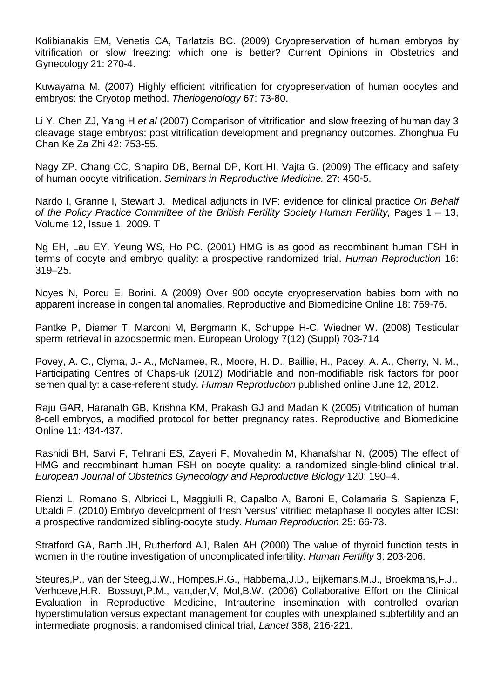Kolibianakis EM, Venetis CA, Tarlatzis BC. (2009) Cryopreservation of human embryos by vitrification or slow freezing: which one is better? Current Opinions in Obstetrics and Gynecology 21: 270-4.

Kuwayama M. (2007) Highly efficient vitrification for cryopreservation of human oocytes and embryos: the Cryotop method. *Theriogenology* 67: 73-80.

Li Y, Chen ZJ, Yang H *et al* (2007) Comparison of vitrification and slow freezing of human day 3 cleavage stage embryos: post vitrification development and pregnancy outcomes. Zhonghua Fu Chan Ke Za Zhi 42: 753-55.

Nagy ZP, Chang CC, Shapiro DB, Bernal DP, Kort HI, Vajta G. (2009) The efficacy and safety of human oocyte vitrification. *Seminars in Reproductive Medicine.* 27: 450-5.

Nardo I, Granne I, Stewart J. Medical adjuncts in IVF: evidence for clinical practice *On Behalf*  of the Policy Practice Committee of the British Fertility Society Human Fertility, Pages 1 – 13, Volume 12, Issue 1, 2009. T

Ng EH, Lau EY, Yeung WS, Ho PC. (2001) HMG is as good as recombinant human FSH in terms of oocyte and embryo quality: a prospective randomized trial. *Human Reproduction* 16: 319–25.

Noyes N, Porcu E, Borini. A (2009) Over 900 oocyte cryopreservation babies born with no apparent increase in congenital anomalies. Reproductive and Biomedicine Online 18: 769-76.

Pantke P, Diemer T, Marconi M, Bergmann K, Schuppe H-C, Wiedner W. (2008) Testicular sperm retrieval in azoospermic men. European Urology 7(12) (Suppl) 703-714

Povey, A. C., Clyma, J.- A., McNamee, R., Moore, H. D., Baillie, H., Pacey, A. A., Cherry, N. M., Participating Centres of Chaps-uk (2012) Modifiable and non-modifiable risk factors for poor semen quality: a case-referent study. *Human Reproduction* published online June 12, 2012.

Raju GAR, Haranath GB, Krishna KM, Prakash GJ and Madan K (2005) Vitrification of human 8-cell embryos, a modified protocol for better pregnancy rates. Reproductive and Biomedicine Online 11: 434-437.

Rashidi BH, Sarvi F, Tehrani ES, Zayeri F, Movahedin M, Khanafshar N. (2005) The effect of HMG and recombinant human FSH on oocyte quality: a randomized single-blind clinical trial. *European Journal of Obstetrics Gynecology and Reproductive Biology* 120: 190–4.

Rienzi L, Romano S, Albricci L, Maggiulli R, Capalbo A, Baroni E, Colamaria S, Sapienza F, Ubaldi F. (2010) Embryo development of fresh 'versus' vitrified metaphase II oocytes after ICSI: a prospective randomized sibling-oocyte study. *Human Reproduction* 25: 66-73.

Stratford GA, Barth JH, Rutherford AJ, Balen AH (2000) The value of thyroid function tests in women in the routine investigation of uncomplicated infertility. *Human Fertility* 3: 203-206.

Steures,P., van der Steeg,J.W., Hompes,P.G., Habbema,J.D., Eijkemans,M.J., Broekmans,F.J., Verhoeve,H.R., Bossuyt,P.M., van,der,V, Mol,B.W. (2006) Collaborative Effort on the Clinical Evaluation in Reproductive Medicine, Intrauterine insemination with controlled ovarian hyperstimulation versus expectant management for couples with unexplained subfertility and an intermediate prognosis: a randomised clinical trial, *Lancet* 368, 216-221.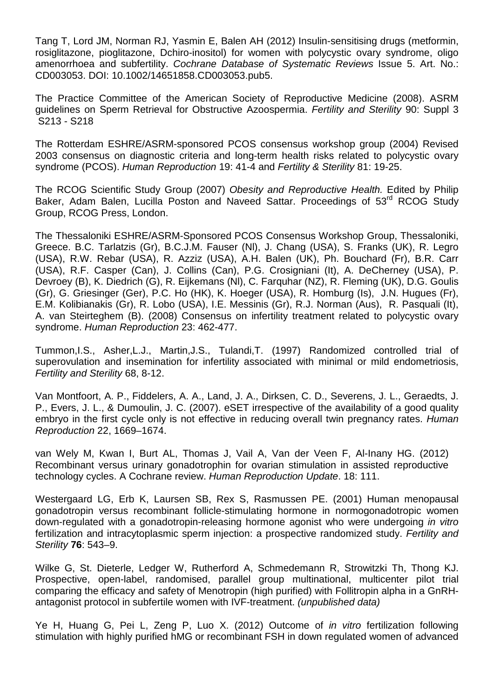Tang T, Lord JM, Norman RJ, Yasmin E, Balen AH (2012) Insulin-sensitising drugs (metformin, rosiglitazone, pioglitazone, Dchiro-inositol) for women with polycystic ovary syndrome, oligo amenorrhoea and subfertility. *Cochrane Database of Systematic Reviews* Issue 5. Art. No.: CD003053. DOI: 10.1002/14651858.CD003053.pub5.

The Practice Committee of the American Society of Reproductive Medicine (2008). ASRM guidelines on Sperm Retrieval for Obstructive Azoospermia. *Fertility and Sterility* 90: Suppl 3 S213 - S218

The Rotterdam ESHRE/ASRM-sponsored PCOS consensus workshop group (2004) Revised 2003 consensus on diagnostic criteria and long-term health risks related to polycystic ovary syndrome (PCOS). *Human Reproduction* 19: 41-4 and *Fertility & Sterility* 81: 19-25.

The RCOG Scientific Study Group (2007) *Obesity and Reproductive Health.* Edited by Philip Baker, Adam Balen, Lucilla Poston and Naveed Sattar. Proceedings of 53<sup>rd</sup> RCOG Study Group, RCOG Press, London.

The Thessaloniki ESHRE/ASRM-Sponsored PCOS Consensus Workshop Group, Thessaloniki, Greece. B.C. Tarlatzis (Gr), B.C.J.M. Fauser (Nl), J. Chang (USA), S. Franks (UK), R. Legro (USA), R.W. Rebar (USA), R. Azziz (USA), A.H. Balen (UK), Ph. Bouchard (Fr), B.R. Carr (USA), R.F. Casper (Can), J. Collins (Can), P.G. Crosigniani (It), A. DeCherney (USA), P. Devroey (B), K. Diedrich (G), R. Eijkemans (Nl), C. Farquhar (NZ), R. Fleming (UK), D.G. Goulis (Gr), G. Griesinger (Ger), P.C. Ho (HK), K. Hoeger (USA), R. Homburg (Is), J.N. Hugues (Fr), E.M. Kolibianakis (Gr), R. Lobo (USA), I.E. Messinis (Gr), R.J. Norman (Aus), R. Pasquali (It), A. van Steirteghem (B). (2008) Consensus on infertility treatment related to polycystic ovary syndrome. *Human Reproduction* 23: 462-477.

Tummon,I.S., Asher,L.J., Martin,J.S., Tulandi,T. (1997) Randomized controlled trial of superovulation and insemination for infertility associated with minimal or mild endometriosis, *Fertility and Sterility* 68, 8-12.

Van Montfoort, A. P., Fiddelers, A. A., Land, J. A., Dirksen, C. D., Severens, J. L., Geraedts, J. P., Evers, J. L., & Dumoulin, J. C. (2007). eSET irrespective of the availability of a good quality embryo in the first cycle only is not effective in reducing overall twin pregnancy rates. *Human Reproduction* 22, 1669–1674.

van Wely M, Kwan I, Burt AL, Thomas J, Vail A, Van der Veen F, Al-Inany HG. (2012) Recombinant versus urinary gonadotrophin for ovarian stimulation in assisted reproductive technology cycles. A Cochrane review. *Human Reproduction Update*. 18: 111.

Westergaard LG, Erb K, Laursen SB, Rex S, Rasmussen PE. (2001) Human menopausal gonadotropin versus recombinant follicle-stimulating hormone in normogonadotropic women down-regulated with a gonadotropin-releasing hormone agonist who were undergoing *in vitro* fertilization and intracytoplasmic sperm injection: a prospective randomized study. *Fertility and Sterility* **76**: 543–9.

Wilke G, St. Dieterle, Ledger W, Rutherford A, Schmedemann R, Strowitzki Th, Thong KJ. Prospective, open-label, randomised, parallel group multinational, multicenter pilot trial comparing the efficacy and safety of Menotropin (high purified) with Follitropin alpha in a GnRHantagonist protocol in subfertile women with IVF-treatment. *(unpublished data)*

Ye H, Huang G, Pei L, Zeng P, Luo X. (2012) Outcome of *in vitro* fertilization following stimulation with highly purified hMG or recombinant FSH in down regulated women of advanced